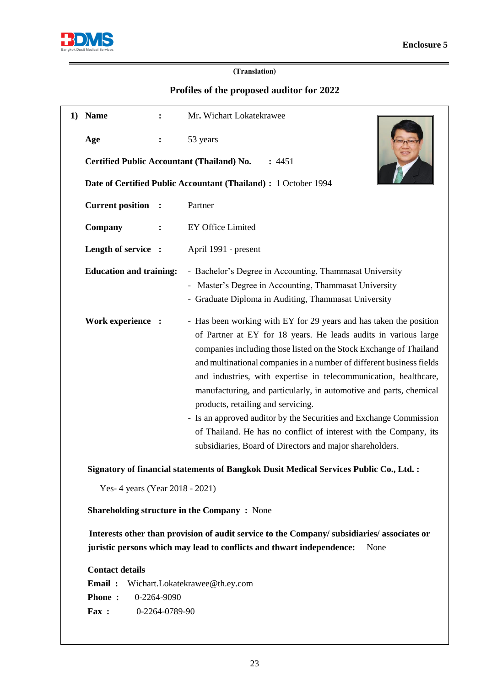

## **(Translation)**

## **Profiles of the proposed auditor for 2022**

| 1) | <b>Name</b>                                                     | $\ddot{\cdot}$ | Mr. Wichart Lokatekrawee                                                                                                                                                                                                                                                                                                                                                                                                                                                                                                                                                                                                                                                   |
|----|-----------------------------------------------------------------|----------------|----------------------------------------------------------------------------------------------------------------------------------------------------------------------------------------------------------------------------------------------------------------------------------------------------------------------------------------------------------------------------------------------------------------------------------------------------------------------------------------------------------------------------------------------------------------------------------------------------------------------------------------------------------------------------|
|    | Age                                                             |                | 53 years                                                                                                                                                                                                                                                                                                                                                                                                                                                                                                                                                                                                                                                                   |
|    | Certified Public Accountant (Thailand) No.                      |                | : 4451                                                                                                                                                                                                                                                                                                                                                                                                                                                                                                                                                                                                                                                                     |
|    | Date of Certified Public Accountant (Thailand) : 1 October 1994 |                |                                                                                                                                                                                                                                                                                                                                                                                                                                                                                                                                                                                                                                                                            |
|    | <b>Current position :</b>                                       |                | Partner                                                                                                                                                                                                                                                                                                                                                                                                                                                                                                                                                                                                                                                                    |
|    | Company                                                         |                | <b>EY Office Limited</b>                                                                                                                                                                                                                                                                                                                                                                                                                                                                                                                                                                                                                                                   |
|    | Length of service :                                             |                | April 1991 - present                                                                                                                                                                                                                                                                                                                                                                                                                                                                                                                                                                                                                                                       |
|    | <b>Education and training:</b>                                  |                | - Bachelor's Degree in Accounting, Thammasat University<br>- Master's Degree in Accounting, Thammasat University<br>- Graduate Diploma in Auditing, Thammasat University                                                                                                                                                                                                                                                                                                                                                                                                                                                                                                   |
|    | Work experience :                                               |                | - Has been working with EY for 29 years and has taken the position<br>of Partner at EY for 18 years. He leads audits in various large<br>companies including those listed on the Stock Exchange of Thailand<br>and multinational companies in a number of different business fields<br>and industries, with expertise in telecommunication, healthcare,<br>manufacturing, and particularly, in automotive and parts, chemical<br>products, retailing and servicing.<br>- Is an approved auditor by the Securities and Exchange Commission<br>of Thailand. He has no conflict of interest with the Company, its<br>subsidiaries, Board of Directors and major shareholders. |

**Signatory of financial statements of Bangkok Dusit Medical Services Public Co., Ltd. :**

Yes- 4 years (Year 2018 - 2021)

**Shareholding structure in the Company :** None

 **Interests other than provision of audit service to the Company/ subsidiaries/ associates or juristic persons which may lead to conflicts and thwart independence:** None

**Contact details**

**Email :** Wichart.Lokatekrawee@th.ey.com

**Phone :** 0-2264-9090

**Fax :** 0-2264-0789-90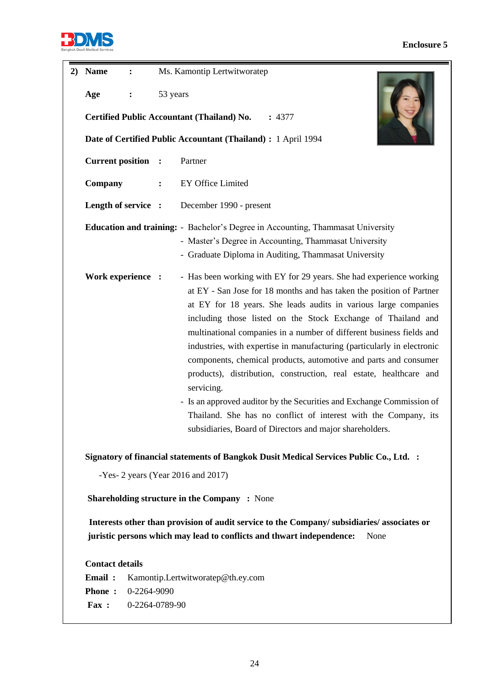

## **Enclosure 5**

| 2) | <b>Name</b>                                                                                                                                                                        | $\ddot{\cdot}$                                                |                | Ms. Kamontip Lertwitworatep                                                                                                                                                                                                                                                                                                                                                                                                                                                                                                                                                                                                                                                                                                                                                                       |  |  |  |
|----|------------------------------------------------------------------------------------------------------------------------------------------------------------------------------------|---------------------------------------------------------------|----------------|---------------------------------------------------------------------------------------------------------------------------------------------------------------------------------------------------------------------------------------------------------------------------------------------------------------------------------------------------------------------------------------------------------------------------------------------------------------------------------------------------------------------------------------------------------------------------------------------------------------------------------------------------------------------------------------------------------------------------------------------------------------------------------------------------|--|--|--|
|    | 53 years<br>Age<br>:                                                                                                                                                               |                                                               |                |                                                                                                                                                                                                                                                                                                                                                                                                                                                                                                                                                                                                                                                                                                                                                                                                   |  |  |  |
|    | <b>Certified Public Accountant (Thailand) No.</b><br>: 4377                                                                                                                        |                                                               |                |                                                                                                                                                                                                                                                                                                                                                                                                                                                                                                                                                                                                                                                                                                                                                                                                   |  |  |  |
|    |                                                                                                                                                                                    | Date of Certified Public Accountant (Thailand) : 1 April 1994 |                |                                                                                                                                                                                                                                                                                                                                                                                                                                                                                                                                                                                                                                                                                                                                                                                                   |  |  |  |
|    | <b>Current position :</b>                                                                                                                                                          |                                                               |                | Partner                                                                                                                                                                                                                                                                                                                                                                                                                                                                                                                                                                                                                                                                                                                                                                                           |  |  |  |
|    | Company                                                                                                                                                                            |                                                               | $\ddot{\cdot}$ | EY Office Limited                                                                                                                                                                                                                                                                                                                                                                                                                                                                                                                                                                                                                                                                                                                                                                                 |  |  |  |
|    | Length of service :                                                                                                                                                                |                                                               |                | December 1990 - present                                                                                                                                                                                                                                                                                                                                                                                                                                                                                                                                                                                                                                                                                                                                                                           |  |  |  |
|    |                                                                                                                                                                                    |                                                               |                | <b>Education and training:</b> - Bachelor's Degree in Accounting, Thammasat University<br>- Master's Degree in Accounting, Thammasat University<br>- Graduate Diploma in Auditing, Thammasat University                                                                                                                                                                                                                                                                                                                                                                                                                                                                                                                                                                                           |  |  |  |
|    | Work experience :                                                                                                                                                                  |                                                               |                | - Has been working with EY for 29 years. She had experience working<br>at EY - San Jose for 18 months and has taken the position of Partner<br>at EY for 18 years. She leads audits in various large companies<br>including those listed on the Stock Exchange of Thailand and<br>multinational companies in a number of different business fields and<br>industries, with expertise in manufacturing (particularly in electronic<br>components, chemical products, automotive and parts and consumer<br>products), distribution, construction, real estate, healthcare and<br>servicing.<br>- Is an approved auditor by the Securities and Exchange Commission of<br>Thailand. She has no conflict of interest with the Company, its<br>subsidiaries, Board of Directors and major shareholders. |  |  |  |
|    | Signatory of financial statements of Bangkok Dusit Medical Services Public Co., Ltd. :<br>-Yes- 2 years (Year 2016 and 2017)<br><b>Shareholding structure in the Company: None</b> |                                                               |                |                                                                                                                                                                                                                                                                                                                                                                                                                                                                                                                                                                                                                                                                                                                                                                                                   |  |  |  |
|    |                                                                                                                                                                                    |                                                               |                |                                                                                                                                                                                                                                                                                                                                                                                                                                                                                                                                                                                                                                                                                                                                                                                                   |  |  |  |
|    |                                                                                                                                                                                    |                                                               |                |                                                                                                                                                                                                                                                                                                                                                                                                                                                                                                                                                                                                                                                                                                                                                                                                   |  |  |  |
|    | Interests other than provision of audit service to the Company/subsidiaries/associates or<br>juristic persons which may lead to conflicts and thwart independence:<br>None         |                                                               |                |                                                                                                                                                                                                                                                                                                                                                                                                                                                                                                                                                                                                                                                                                                                                                                                                   |  |  |  |
|    | <b>Contact details</b>                                                                                                                                                             |                                                               |                |                                                                                                                                                                                                                                                                                                                                                                                                                                                                                                                                                                                                                                                                                                                                                                                                   |  |  |  |
|    | Email:<br>Kamontip.Lertwitworatep@th.ey.com                                                                                                                                        |                                                               |                |                                                                                                                                                                                                                                                                                                                                                                                                                                                                                                                                                                                                                                                                                                                                                                                                   |  |  |  |
|    | <b>Phone:</b><br>0-2264-9090                                                                                                                                                       |                                                               |                |                                                                                                                                                                                                                                                                                                                                                                                                                                                                                                                                                                                                                                                                                                                                                                                                   |  |  |  |
|    | Fax:<br>0-2264-0789-90                                                                                                                                                             |                                                               |                |                                                                                                                                                                                                                                                                                                                                                                                                                                                                                                                                                                                                                                                                                                                                                                                                   |  |  |  |